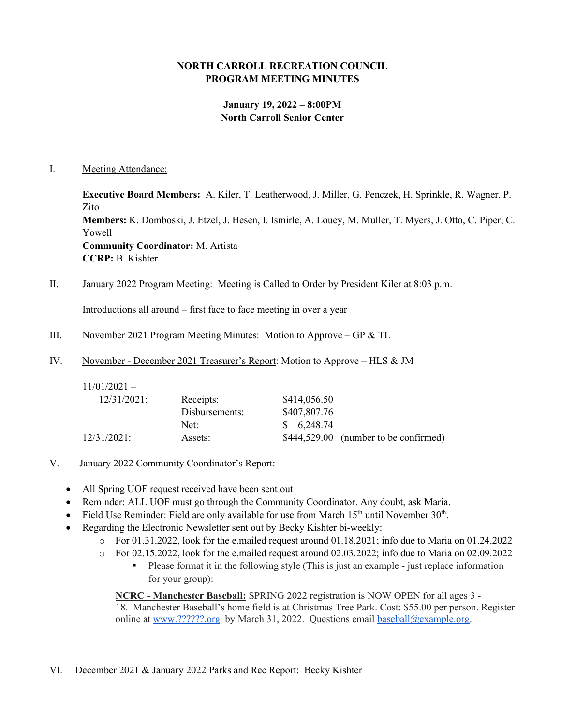### **NORTH CARROLL RECREATION COUNCIL PROGRAM MEETING MINUTES**

# **January 19, 2022 – 8:00PM North Carroll Senior Center**

#### I. Meeting Attendance:

**Executive Board Members:** A. Kiler, T. Leatherwood, J. Miller, G. Penczek, H. Sprinkle, R. Wagner, P. Zito **Members:** K. Domboski, J. Etzel, J. Hesen, I. Ismirle, A. Louey, M. Muller, T. Myers, J. Otto, C. Piper, C. Yowell **Community Coordinator:** M. Artista **CCRP:** B. Kishter

II. January 2022 Program Meeting: Meeting is Called to Order by President Kiler at 8:03 p.m.

Introductions all around – first face to face meeting in over a year

- III. November 2021 Program Meeting Minutes: Motion to Approve GP & TL
- IV. November December 2021 Treasurer's Report: Motion to Approve HLS & JM

| $11/01/2021 -$ |                |              |                                       |
|----------------|----------------|--------------|---------------------------------------|
| $12/31/2021$ : | Receipts:      | \$414,056.50 |                                       |
|                | Disbursements: | \$407,807.76 |                                       |
|                | Net:           | \$6,248.74   |                                       |
| 12/31/2021:    | Assets:        |              | \$444,529.00 (number to be confirmed) |

- V. January 2022 Community Coordinator's Report:
	- All Spring UOF request received have been sent out
	- Reminder: ALL UOF must go through the Community Coordinator. Any doubt, ask Maria.
	- Field Use Reminder: Field are only available for use from March  $15<sup>th</sup>$  until November  $30<sup>th</sup>$ .
	- Regarding the Electronic Newsletter sent out by Becky Kishter bi-weekly:
		- o For 01.31.2022, look for the e.mailed request around 01.18.2021; info due to Maria on 01.24.2022
		- o For 02.15.2022, look for the e.mailed request around 02.03.2022; info due to Maria on 02.09.2022
			- Please format it in the following style (This is just an example just replace information for your group):

**NCRC - Manchester Baseball:** SPRING 2022 registration is NOW OPEN for all ages 3 - 18. Manchester Baseball's home field is at Christmas Tree Park. Cost: \$55.00 per person. Register online at [www.??????.org](http://www.mayaasports.org/) by March 31, 2022. Questions email [baseball@example.org.](mailto:baseball@example.org)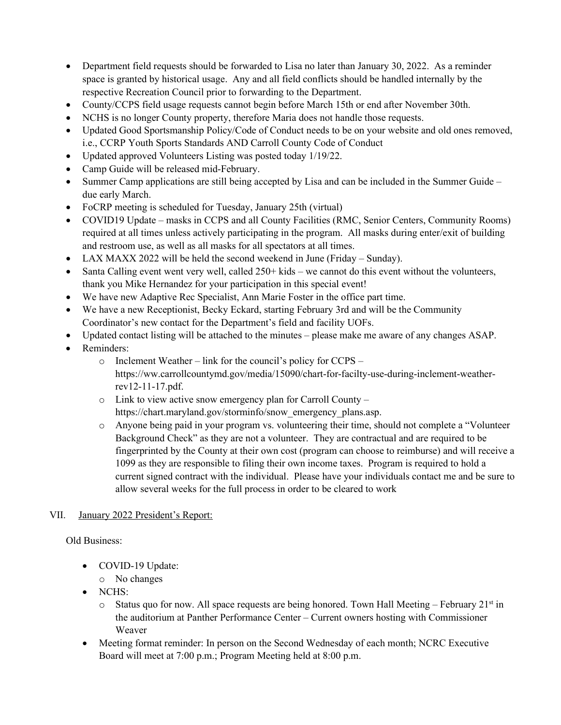- Department field requests should be forwarded to Lisa no later than January 30, 2022. As a reminder space is granted by historical usage. Any and all field conflicts should be handled internally by the respective Recreation Council prior to forwarding to the Department.
- County/CCPS field usage requests cannot begin before March 15th or end after November 30th.
- NCHS is no longer County property, therefore Maria does not handle those requests.
- Updated Good Sportsmanship Policy/Code of Conduct needs to be on your website and old ones removed, i.e., CCRP Youth Sports Standards AND Carroll County Code of Conduct
- Updated approved Volunteers Listing was posted today 1/19/22.
- Camp Guide will be released mid-February.
- Summer Camp applications are still being accepted by Lisa and can be included in the Summer Guide due early March.
- FoCRP meeting is scheduled for Tuesday, January 25th (virtual)
- COVID19 Update masks in CCPS and all County Facilities (RMC, Senior Centers, Community Rooms) required at all times unless actively participating in the program. All masks during enter/exit of building and restroom use, as well as all masks for all spectators at all times.
- LAX MAXX 2022 will be held the second weekend in June (Friday Sunday).
- Santa Calling event went very well, called  $250+$  kids we cannot do this event without the volunteers, thank you Mike Hernandez for your participation in this special event!
- We have new Adaptive Rec Specialist, Ann Marie Foster in the office part time.
- We have a new Receptionist, Becky Eckard, starting February 3rd and will be the Community Coordinator's new contact for the Department's field and facility UOFs.
- Updated contact listing will be attached to the minutes please make me aware of any changes ASAP.
- Reminders:
	- o Inclement Weather link for the council's policy for CCPS https://ww.carrollcountymd.gov/media/15090/chart-for-facilty-use-during-inclement-weatherrev12-11-17.pdf.
	- o Link to view active snow emergency plan for Carroll County https://chart.maryland.gov/storminfo/snow\_emergency\_plans.asp.
	- o Anyone being paid in your program vs. volunteering their time, should not complete a "Volunteer Background Check" as they are not a volunteer. They are contractual and are required to be fingerprinted by the County at their own cost (program can choose to reimburse) and will receive a 1099 as they are responsible to filing their own income taxes. Program is required to hold a current signed contract with the individual. Please have your individuals contact me and be sure to allow several weeks for the full process in order to be cleared to work

# VII. January 2022 President's Report:

Old Business:

- COVID-19 Update:
	- o No changes
- NCHS:
	- $\circ$  Status quo for now. All space requests are being honored. Town Hall Meeting February 21<sup>st</sup> in the auditorium at Panther Performance Center – Current owners hosting with Commissioner Weaver
- Meeting format reminder: In person on the Second Wednesday of each month; NCRC Executive Board will meet at 7:00 p.m.; Program Meeting held at 8:00 p.m.